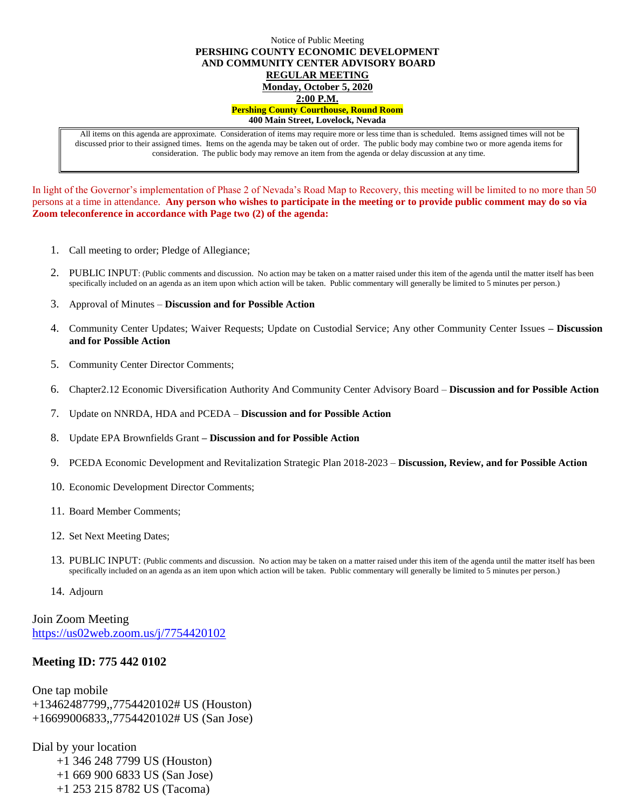#### Notice of Public Meeting **PERSHING COUNTY ECONOMIC DEVELOPMENT AND COMMUNITY CENTER ADVISORY BOARD REGULAR MEETING Monday, October 5, 2020 2:00 P.M. Pershing County Courthouse, Round Room 400 Main Street, Lovelock, Nevada**

All items on this agenda are approximate. Consideration of items may require more or less time than is scheduled. Items assigned times will not be discussed prior to their assigned times. Items on the agenda may be taken out of order. The public body may combine two or more agenda items for consideration. The public body may remove an item from the agenda or delay discussion at any time.

In light of the Governor's implementation of Phase 2 of Nevada's Road Map to Recovery, this meeting will be limited to no more than 50 persons at a time in attendance. **Any person who wishes to participate in the meeting or to provide public comment may do so via Zoom teleconference in accordance with Page two (2) of the agenda:** 

- 1. Call meeting to order; Pledge of Allegiance;
- 2. PUBLIC INPUT: (Public comments and discussion. No action may be taken on a matter raised under this item of the agenda until the matter itself has been specifically included on an agenda as an item upon which action will be taken. Public commentary will generally be limited to 5 minutes per person.)
- 3. Approval of Minutes **Discussion and for Possible Action**
- 4. Community Center Updates; Waiver Requests; Update on Custodial Service; Any other Community Center Issues **– Discussion and for Possible Action**
- 5. Community Center Director Comments;
- 6. Chapter2.12 Economic Diversification Authority And Community Center Advisory Board **Discussion and for Possible Action**
- 7. Update on NNRDA, HDA and PCEDA **Discussion and for Possible Action**
- 8. Update EPA Brownfields Grant **– Discussion and for Possible Action**
- 9. PCEDA Economic Development and Revitalization Strategic Plan 2018-2023 **Discussion, Review, and for Possible Action**
- 10. Economic Development Director Comments;
- 11. Board Member Comments;
- 12. Set Next Meeting Dates;
- 13. PUBLIC INPUT: (Public comments and discussion. No action may be taken on a matter raised under this item of the agenda until the matter itself has been specifically included on an agenda as an item upon which action will be taken. Public commentary will generally be limited to 5 minutes per person.)
- 14. Adjourn

# Join Zoom Meeting <https://us02web.zoom.us/j/7754420102>

## **Meeting ID: 775 442 0102**

One tap mobile +13462487799,,7754420102# US (Houston) +16699006833,,7754420102# US (San Jose)

Dial by your location +1 346 248 7799 US (Houston) +1 669 900 6833 US (San Jose) +1 253 215 8782 US (Tacoma)